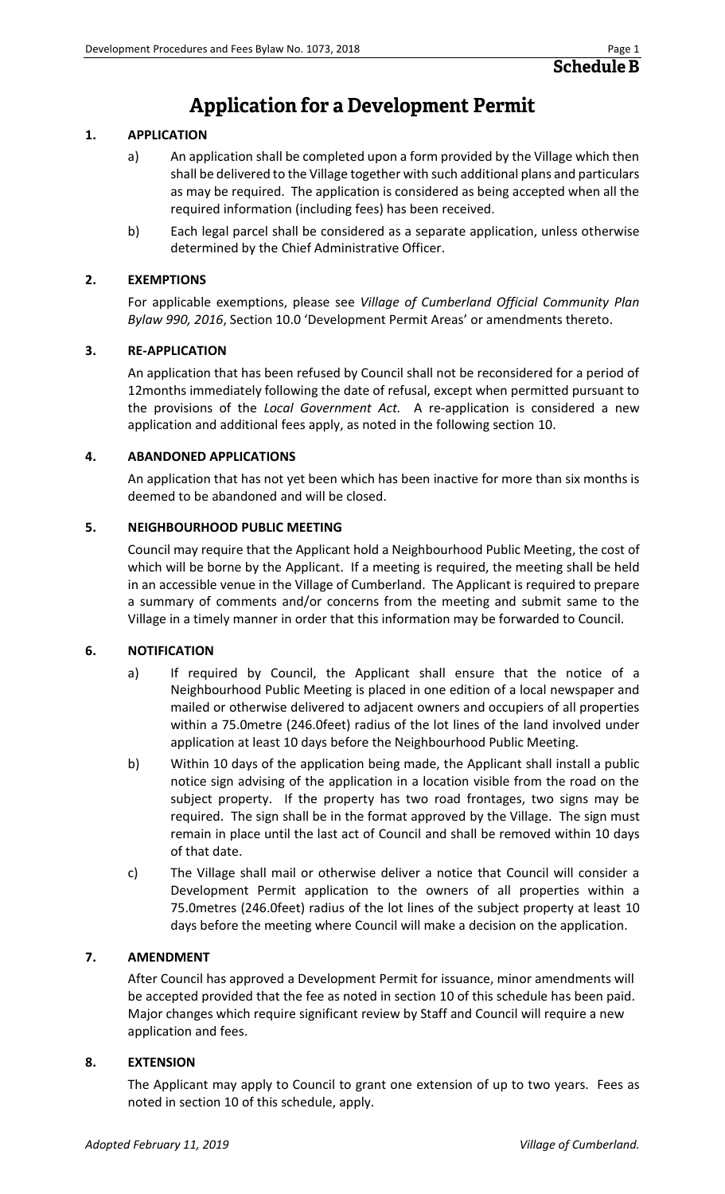### **Application for a Development Permit**

#### **1. APPLICATION**

- a) An application shall be completed upon a form provided by the Village which then shall be delivered to the Village together with such additional plans and particulars as may be required. The application is considered as being accepted when all the required information (including fees) has been received.
- b) Each legal parcel shall be considered as a separate application, unless otherwise determined by the Chief Administrative Officer.

#### **2. EXEMPTIONS**

For applicable exemptions, please see *Village of Cumberland Official Community Plan Bylaw 990, 2016*, Section 10.0 'Development Permit Areas' or amendments thereto.

#### **3. RE-APPLICATION**

An application that has been refused by Council shall not be reconsidered for a period of 12months immediately following the date of refusal, except when permitted pursuant to the provisions of the *Local Government Act.* A re-application is considered a new application and additional fees apply, as noted in the following section 10.

#### **4. ABANDONED APPLICATIONS**

An application that has not yet been which has been inactive for more than six months is deemed to be abandoned and will be closed.

#### **5. NEIGHBOURHOOD PUBLIC MEETING**

Council may require that the Applicant hold a Neighbourhood Public Meeting, the cost of which will be borne by the Applicant. If a meeting is required, the meeting shall be held in an accessible venue in the Village of Cumberland. The Applicant is required to prepare a summary of comments and/or concerns from the meeting and submit same to the Village in a timely manner in order that this information may be forwarded to Council.

#### **6. NOTIFICATION**

- a) If required by Council, the Applicant shall ensure that the notice of a Neighbourhood Public Meeting is placed in one edition of a local newspaper and mailed or otherwise delivered to adjacent owners and occupiers of all properties within a 75.0metre (246.0feet) radius of the lot lines of the land involved under application at least 10 days before the Neighbourhood Public Meeting.
- b) Within 10 days of the application being made, the Applicant shall install a public notice sign advising of the application in a location visible from the road on the subject property. If the property has two road frontages, two signs may be required. The sign shall be in the format approved by the Village. The sign must remain in place until the last act of Council and shall be removed within 10 days of that date.
- c) The Village shall mail or otherwise deliver a notice that Council will consider a Development Permit application to the owners of all properties within a 75.0metres (246.0feet) radius of the lot lines of the subject property at least 10 days before the meeting where Council will make a decision on the application.

#### **7. AMENDMENT**

After Council has approved a Development Permit for issuance, minor amendments will be accepted provided that the fee as noted in section 10 of this schedule has been paid. Major changes which require significant review by Staff and Council will require a new application and fees.

#### **8. EXTENSION**

The Applicant may apply to Council to grant one extension of up to two years. Fees as noted in section 10 of this schedule, apply.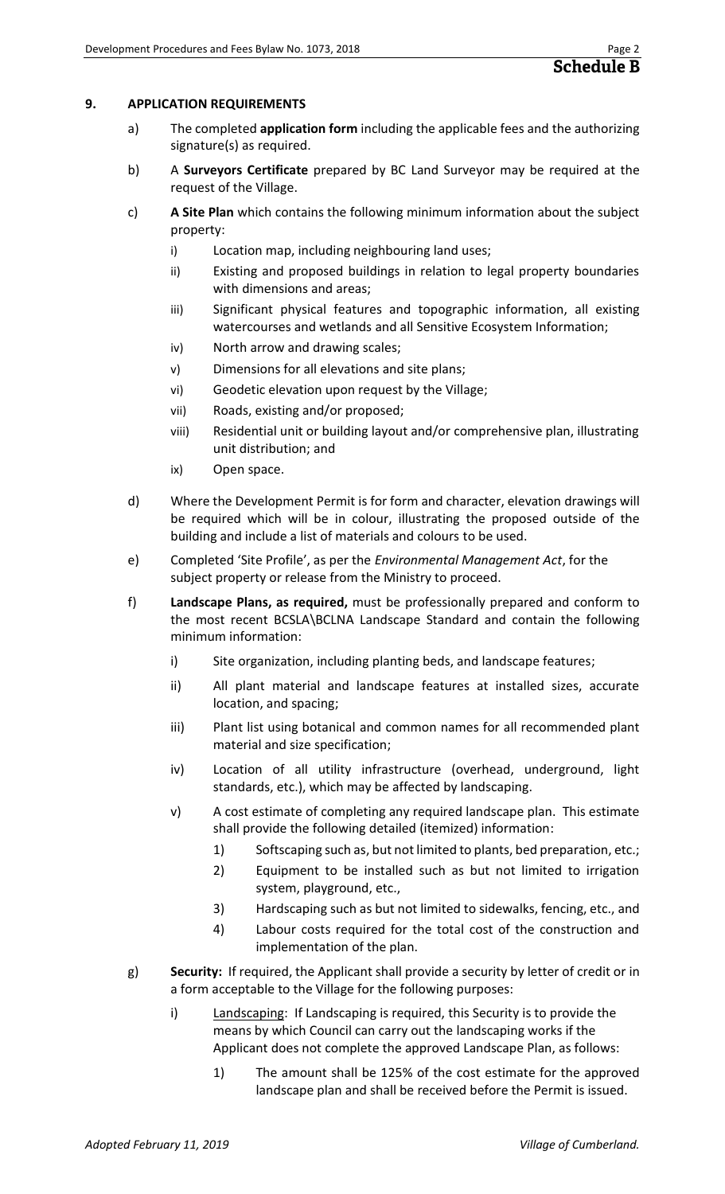#### **9. APPLICATION REQUIREMENTS**

- a) The completed **application form** including the applicable fees and the authorizing signature(s) as required.
- b) A **Surveyors Certificate** prepared by BC Land Surveyor may be required at the request of the Village.
- c) **A Site Plan** which contains the following minimum information about the subject property:
	- i) Location map, including neighbouring land uses;
	- ii) Existing and proposed buildings in relation to legal property boundaries with dimensions and areas;
	- iii) Significant physical features and topographic information, all existing watercourses and wetlands and all Sensitive Ecosystem Information;
	- iv) North arrow and drawing scales;
	- v) Dimensions for all elevations and site plans;
	- vi) Geodetic elevation upon request by the Village;
	- vii) Roads, existing and/or proposed;
	- viii) Residential unit or building layout and/or comprehensive plan, illustrating unit distribution; and
	- ix) Open space.
- d) Where the Development Permit is for form and character, elevation drawings will be required which will be in colour, illustrating the proposed outside of the building and include a list of materials and colours to be used.
- e) Completed 'Site Profile', as per the *Environmental Management Act*, for the subject property or release from the Ministry to proceed.
- f) **Landscape Plans, as required,** must be professionally prepared and conform to the most recent BCSLA\BCLNA Landscape Standard and contain the following minimum information:
	- i) Site organization, including planting beds, and landscape features;
	- ii) All plant material and landscape features at installed sizes, accurate location, and spacing;
	- iii) Plant list using botanical and common names for all recommended plant material and size specification;
	- iv) Location of all utility infrastructure (overhead, underground, light standards, etc.), which may be affected by landscaping.
	- v) A cost estimate of completing any required landscape plan. This estimate shall provide the following detailed (itemized) information:
		- 1) Softscaping such as, but not limited to plants, bed preparation, etc.;
		- 2) Equipment to be installed such as but not limited to irrigation system, playground, etc.,
		- 3) Hardscaping such as but not limited to sidewalks, fencing, etc., and
		- 4) Labour costs required for the total cost of the construction and implementation of the plan.
- g) **Security:** If required, the Applicant shall provide a security by letter of credit or in a form acceptable to the Village for the following purposes:
	- i) Landscaping: If Landscaping is required, this Security is to provide the means by which Council can carry out the landscaping works if the Applicant does not complete the approved Landscape Plan, as follows:
		- 1) The amount shall be 125% of the cost estimate for the approved landscape plan and shall be received before the Permit is issued.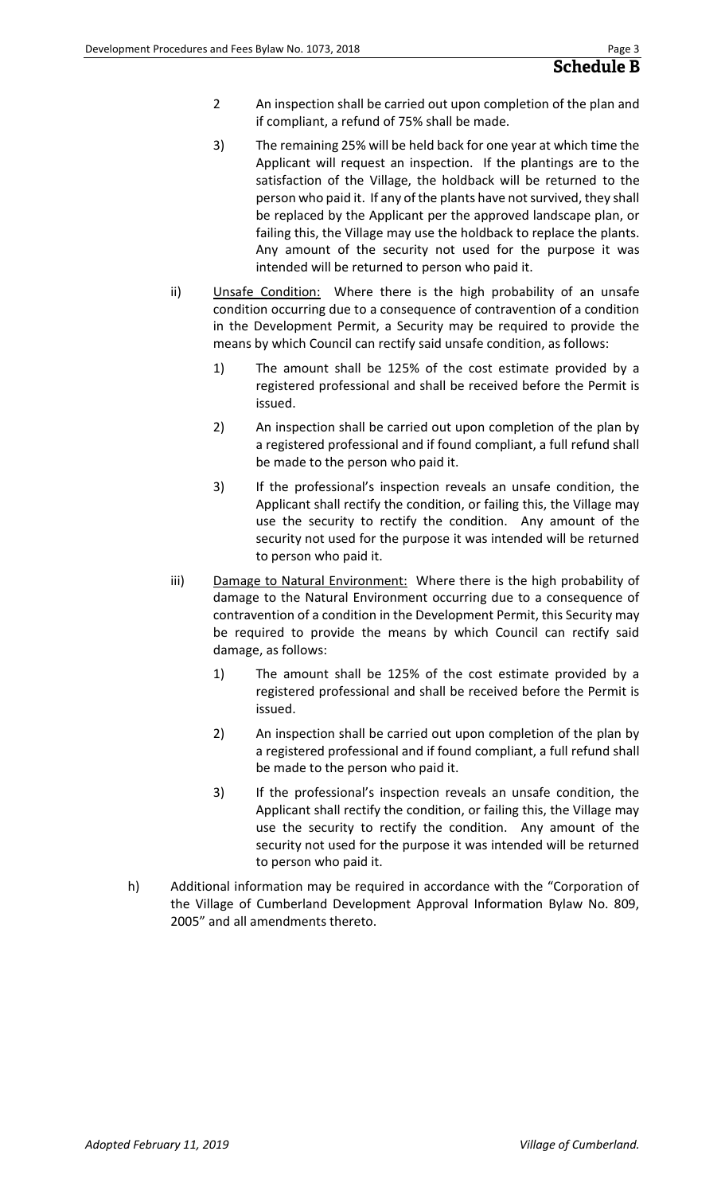- 2 An inspection shall be carried out upon completion of the plan and if compliant, a refund of 75% shall be made.
- 3) The remaining 25% will be held back for one year at which time the Applicant will request an inspection. If the plantings are to the satisfaction of the Village, the holdback will be returned to the person who paid it. If any of the plants have not survived, they shall be replaced by the Applicant per the approved landscape plan, or failing this, the Village may use the holdback to replace the plants. Any amount of the security not used for the purpose it was intended will be returned to person who paid it.
- ii) Unsafe Condition: Where there is the high probability of an unsafe condition occurring due to a consequence of contravention of a condition in the Development Permit, a Security may be required to provide the means by which Council can rectify said unsafe condition, as follows:
	- 1) The amount shall be 125% of the cost estimate provided by a registered professional and shall be received before the Permit is issued.
	- 2) An inspection shall be carried out upon completion of the plan by a registered professional and if found compliant, a full refund shall be made to the person who paid it.
	- 3) If the professional's inspection reveals an unsafe condition, the Applicant shall rectify the condition, or failing this, the Village may use the security to rectify the condition. Any amount of the security not used for the purpose it was intended will be returned to person who paid it.
- iii) Damage to Natural Environment: Where there is the high probability of damage to the Natural Environment occurring due to a consequence of contravention of a condition in the Development Permit, this Security may be required to provide the means by which Council can rectify said damage, as follows:
	- 1) The amount shall be 125% of the cost estimate provided by a registered professional and shall be received before the Permit is issued.
	- 2) An inspection shall be carried out upon completion of the plan by a registered professional and if found compliant, a full refund shall be made to the person who paid it.
	- 3) If the professional's inspection reveals an unsafe condition, the Applicant shall rectify the condition, or failing this, the Village may use the security to rectify the condition. Any amount of the security not used for the purpose it was intended will be returned to person who paid it.
- h) Additional information may be required in accordance with the "Corporation of the Village of Cumberland Development Approval Information Bylaw No. 809, 2005" and all amendments thereto.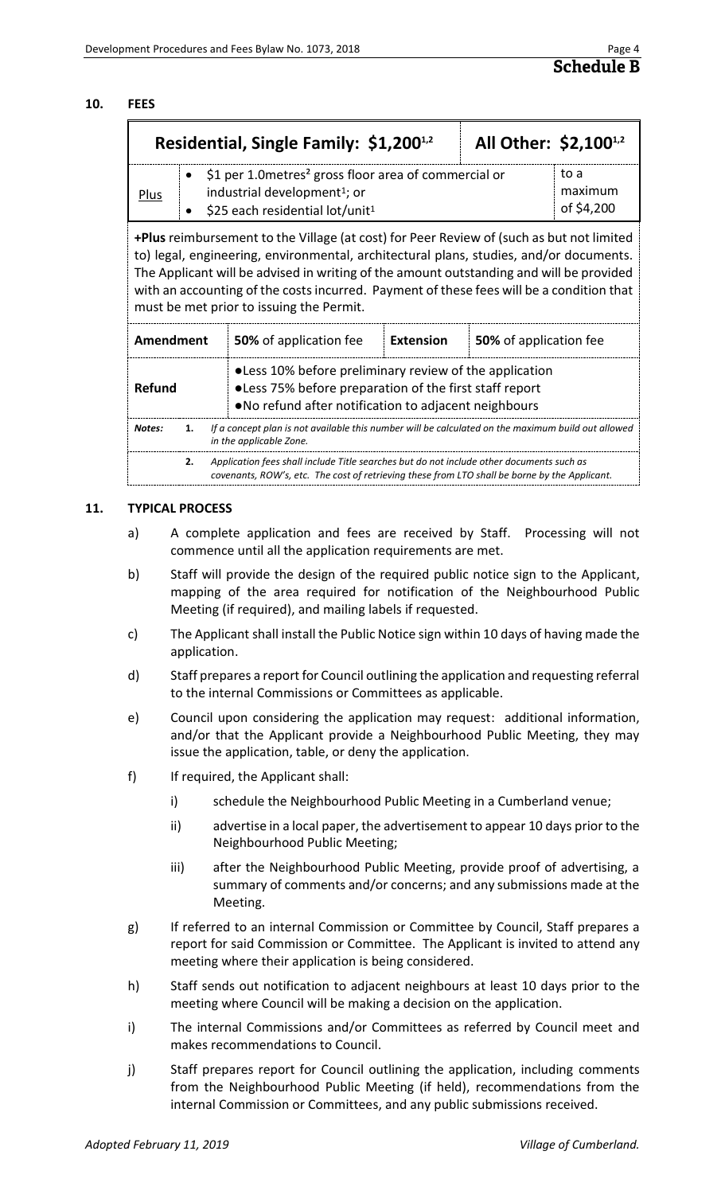#### **10. FEES**

|      | Residential, Single Family: \$1,200 <sup>1,2</sup>                                                                                                           | All Other: \$2,100 <sup>1,2</sup> |                               |
|------|--------------------------------------------------------------------------------------------------------------------------------------------------------------|-----------------------------------|-------------------------------|
| Plus | \$1 per 1.0 metres <sup>2</sup> gross floor area of commercial or<br>industrial development <sup>1</sup> ; or<br>\$25 each residential lot/unit <sup>1</sup> |                                   | to a<br>maximum<br>of \$4,200 |

**+Plus** reimbursement to the Village (at cost) for Peer Review of (such as but not limited to) legal, engineering, environmental, architectural plans, studies, and/or documents. The Applicant will be advised in writing of the amount outstanding and will be provided with an accounting of the costs incurred. Payment of these fees will be a condition that must be met prior to issuing the Permit.

| Amendment                                                                                                                                                                                 | <b>50%</b> of application fee                                                                                                                                              | <b>Extension</b> | 50% of application fee |  |
|-------------------------------------------------------------------------------------------------------------------------------------------------------------------------------------------|----------------------------------------------------------------------------------------------------------------------------------------------------------------------------|------------------|------------------------|--|
| Refund                                                                                                                                                                                    | •Less 10% before preliminary review of the application<br>● Less 75% before preparation of the first staff report<br>• No refund after notification to adjacent neighbours |                  |                        |  |
| If a concept plan is not available this number will be calculated on the maximum build out allowed<br>Notes:<br>in the applicable Zone.                                                   |                                                                                                                                                                            |                  |                        |  |
| Application fees shall include Title searches but do not include other documents such as<br>covenants, ROW's, etc. The cost of retrieving these from LTO shall be borne by the Applicant. |                                                                                                                                                                            |                  |                        |  |

#### **11. TYPICAL PROCESS**

- a) A complete application and fees are received by Staff. Processing will not commence until all the application requirements are met.
- b) Staff will provide the design of the required public notice sign to the Applicant, mapping of the area required for notification of the Neighbourhood Public Meeting (if required), and mailing labels if requested.
- c) The Applicant shall install the Public Notice sign within 10 days of having made the application.
- d) Staff prepares a report for Council outlining the application and requesting referral to the internal Commissions or Committees as applicable.
- e) Council upon considering the application may request: additional information, and/or that the Applicant provide a Neighbourhood Public Meeting, they may issue the application, table, or deny the application.
- f) If required, the Applicant shall:
	- i) schedule the Neighbourhood Public Meeting in a Cumberland venue;
	- ii) advertise in a local paper, the advertisement to appear 10 days prior to the Neighbourhood Public Meeting;
	- iii) after the Neighbourhood Public Meeting, provide proof of advertising, a summary of comments and/or concerns; and any submissions made at the Meeting.
- g) If referred to an internal Commission or Committee by Council, Staff prepares a report for said Commission or Committee. The Applicant is invited to attend any meeting where their application is being considered.
- h) Staff sends out notification to adjacent neighbours at least 10 days prior to the meeting where Council will be making a decision on the application.
- i) The internal Commissions and/or Committees as referred by Council meet and makes recommendations to Council.
- j) Staff prepares report for Council outlining the application, including comments from the Neighbourhood Public Meeting (if held), recommendations from the internal Commission or Committees, and any public submissions received.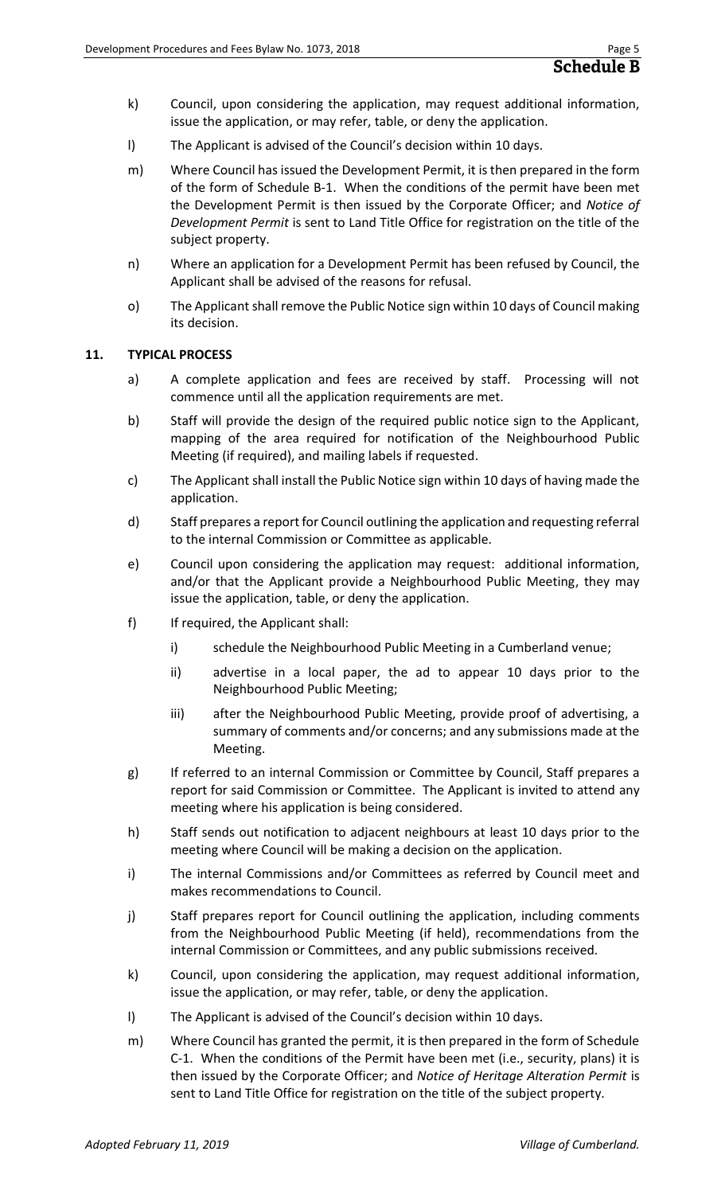- k) Council, upon considering the application, may request additional information, issue the application, or may refer, table, or deny the application.
- l) The Applicant is advised of the Council's decision within 10 days.
- m) Where Council has issued the Development Permit, it is then prepared in the form of the form of Schedule B-1. When the conditions of the permit have been met the Development Permit is then issued by the Corporate Officer; and *Notice of Development Permit* is sent to Land Title Office for registration on the title of the subject property.
- n) Where an application for a Development Permit has been refused by Council, the Applicant shall be advised of the reasons for refusal.
- o) The Applicant shall remove the Public Notice sign within 10 days of Council making its decision.

#### **11. TYPICAL PROCESS**

- a) A complete application and fees are received by staff. Processing will not commence until all the application requirements are met.
- b) Staff will provide the design of the required public notice sign to the Applicant, mapping of the area required for notification of the Neighbourhood Public Meeting (if required), and mailing labels if requested.
- c) The Applicant shall install the Public Notice sign within 10 days of having made the application.
- d) Staff prepares a report for Council outlining the application and requesting referral to the internal Commission or Committee as applicable.
- e) Council upon considering the application may request: additional information, and/or that the Applicant provide a Neighbourhood Public Meeting, they may issue the application, table, or deny the application.
- f) If required, the Applicant shall:
	- i) schedule the Neighbourhood Public Meeting in a Cumberland venue;
	- ii) advertise in a local paper, the ad to appear 10 days prior to the Neighbourhood Public Meeting;
	- iii) after the Neighbourhood Public Meeting, provide proof of advertising, a summary of comments and/or concerns; and any submissions made at the Meeting.
- g) If referred to an internal Commission or Committee by Council, Staff prepares a report for said Commission or Committee. The Applicant is invited to attend any meeting where his application is being considered.
- h) Staff sends out notification to adjacent neighbours at least 10 days prior to the meeting where Council will be making a decision on the application.
- i) The internal Commissions and/or Committees as referred by Council meet and makes recommendations to Council.
- j) Staff prepares report for Council outlining the application, including comments from the Neighbourhood Public Meeting (if held), recommendations from the internal Commission or Committees, and any public submissions received.
- k) Council, upon considering the application, may request additional information, issue the application, or may refer, table, or deny the application.
- l) The Applicant is advised of the Council's decision within 10 days.
- m) Where Council has granted the permit, it is then prepared in the form of Schedule C-1. When the conditions of the Permit have been met (i.e., security, plans) it is then issued by the Corporate Officer; and *Notice of Heritage Alteration Permit* is sent to Land Title Office for registration on the title of the subject property.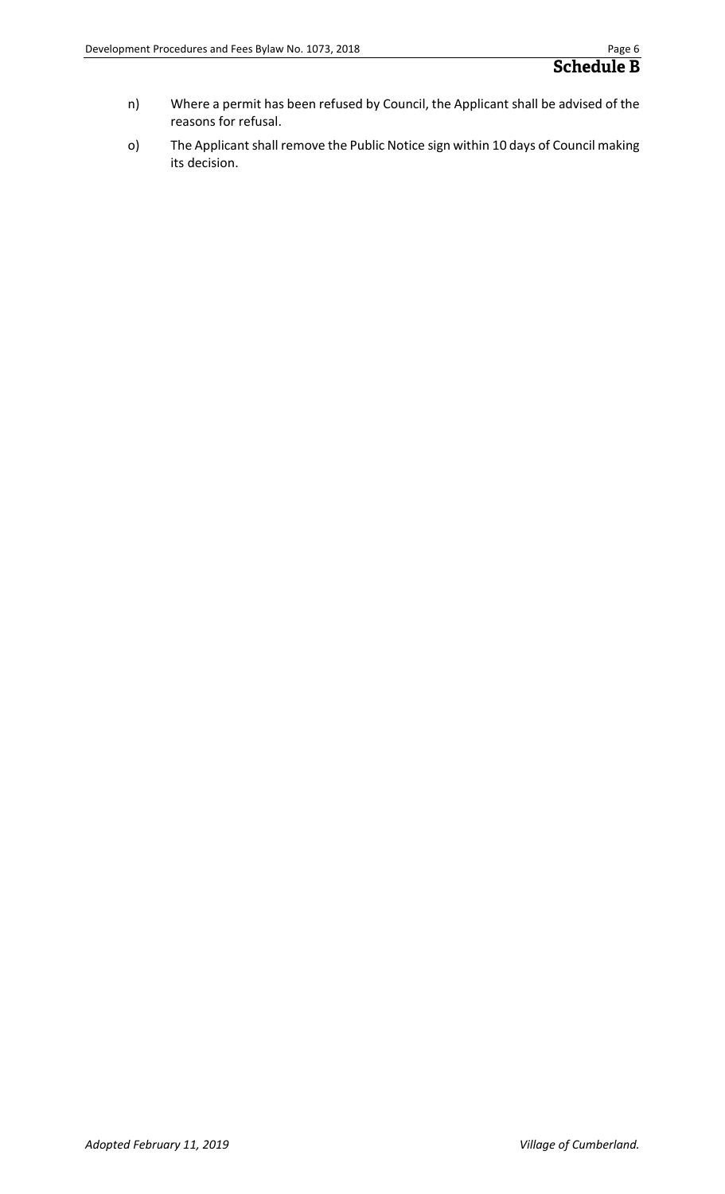- n) Where a permit has been refused by Council, the Applicant shall be advised of the reasons for refusal.
- o) The Applicant shall remove the Public Notice sign within 10 days of Council making its decision.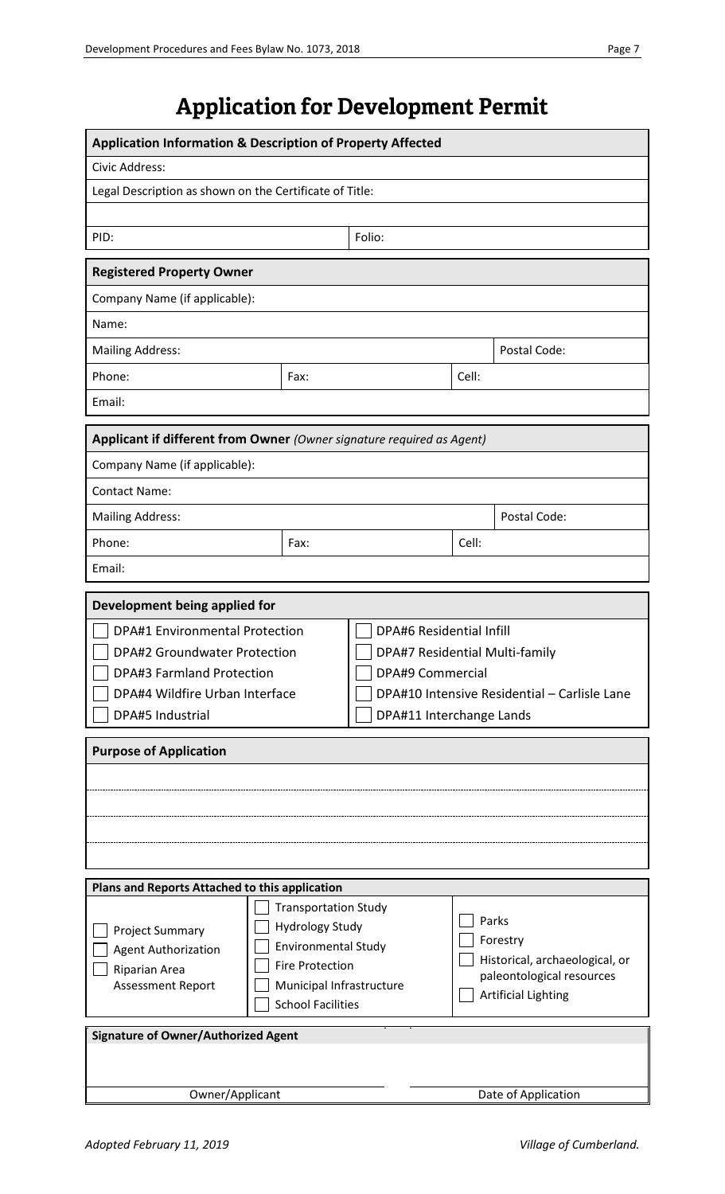## **Application for Development Permit**

| <b>Application Information &amp; Description of Property Affected</b>                                                                                                                                                                                                                                                 |      |                                                                                                                                                                          |       |                                                                                                                |  |
|-----------------------------------------------------------------------------------------------------------------------------------------------------------------------------------------------------------------------------------------------------------------------------------------------------------------------|------|--------------------------------------------------------------------------------------------------------------------------------------------------------------------------|-------|----------------------------------------------------------------------------------------------------------------|--|
| Civic Address:                                                                                                                                                                                                                                                                                                        |      |                                                                                                                                                                          |       |                                                                                                                |  |
| Legal Description as shown on the Certificate of Title:                                                                                                                                                                                                                                                               |      |                                                                                                                                                                          |       |                                                                                                                |  |
|                                                                                                                                                                                                                                                                                                                       |      |                                                                                                                                                                          |       |                                                                                                                |  |
| PID:                                                                                                                                                                                                                                                                                                                  |      | Folio:                                                                                                                                                                   |       |                                                                                                                |  |
| <b>Registered Property Owner</b>                                                                                                                                                                                                                                                                                      |      |                                                                                                                                                                          |       |                                                                                                                |  |
| Company Name (if applicable):                                                                                                                                                                                                                                                                                         |      |                                                                                                                                                                          |       |                                                                                                                |  |
| Name:                                                                                                                                                                                                                                                                                                                 |      |                                                                                                                                                                          |       |                                                                                                                |  |
| <b>Mailing Address:</b>                                                                                                                                                                                                                                                                                               |      |                                                                                                                                                                          |       | Postal Code:                                                                                                   |  |
| Phone:                                                                                                                                                                                                                                                                                                                | Fax: |                                                                                                                                                                          | Cell: |                                                                                                                |  |
| Email:                                                                                                                                                                                                                                                                                                                |      |                                                                                                                                                                          |       |                                                                                                                |  |
| Applicant if different from Owner (Owner signature required as Agent)                                                                                                                                                                                                                                                 |      |                                                                                                                                                                          |       |                                                                                                                |  |
| Company Name (if applicable):                                                                                                                                                                                                                                                                                         |      |                                                                                                                                                                          |       |                                                                                                                |  |
| <b>Contact Name:</b>                                                                                                                                                                                                                                                                                                  |      |                                                                                                                                                                          |       |                                                                                                                |  |
| <b>Mailing Address:</b>                                                                                                                                                                                                                                                                                               |      |                                                                                                                                                                          |       | Postal Code:                                                                                                   |  |
| Phone:<br>Fax:                                                                                                                                                                                                                                                                                                        |      |                                                                                                                                                                          | Cell: |                                                                                                                |  |
| Email:                                                                                                                                                                                                                                                                                                                |      |                                                                                                                                                                          |       |                                                                                                                |  |
| Development being applied for                                                                                                                                                                                                                                                                                         |      |                                                                                                                                                                          |       |                                                                                                                |  |
| <b>DPA#1 Environmental Protection</b><br><b>DPA#2 Groundwater Protection</b><br><b>DPA#3 Farmland Protection</b><br>DPA#4 Wildfire Urban Interface<br>DPA#5 Industrial                                                                                                                                                |      | <b>DPA#6 Residential Infill</b><br>DPA#7 Residential Multi-family<br><b>DPA#9 Commercial</b><br>DPA#10 Intensive Residential - Carlisle Lane<br>DPA#11 Interchange Lands |       |                                                                                                                |  |
| <b>Purpose of Application</b>                                                                                                                                                                                                                                                                                         |      |                                                                                                                                                                          |       |                                                                                                                |  |
|                                                                                                                                                                                                                                                                                                                       |      |                                                                                                                                                                          |       |                                                                                                                |  |
|                                                                                                                                                                                                                                                                                                                       |      |                                                                                                                                                                          |       |                                                                                                                |  |
| Plans and Reports Attached to this application<br><b>Transportation Study</b><br><b>Hydrology Study</b><br><b>Project Summary</b><br><b>Environmental Study</b><br><b>Agent Authorization</b><br><b>Fire Protection</b><br>Riparian Area<br>Assessment Report<br>Municipal Infrastructure<br><b>School Facilities</b> |      |                                                                                                                                                                          |       | Parks<br>Forestry<br>Historical, archaeological, or<br>paleontological resources<br><b>Artificial Lighting</b> |  |
| <b>Signature of Owner/Authorized Agent</b>                                                                                                                                                                                                                                                                            |      |                                                                                                                                                                          |       |                                                                                                                |  |
|                                                                                                                                                                                                                                                                                                                       |      |                                                                                                                                                                          |       |                                                                                                                |  |
| Owner/Applicant                                                                                                                                                                                                                                                                                                       |      |                                                                                                                                                                          |       | Date of Application                                                                                            |  |